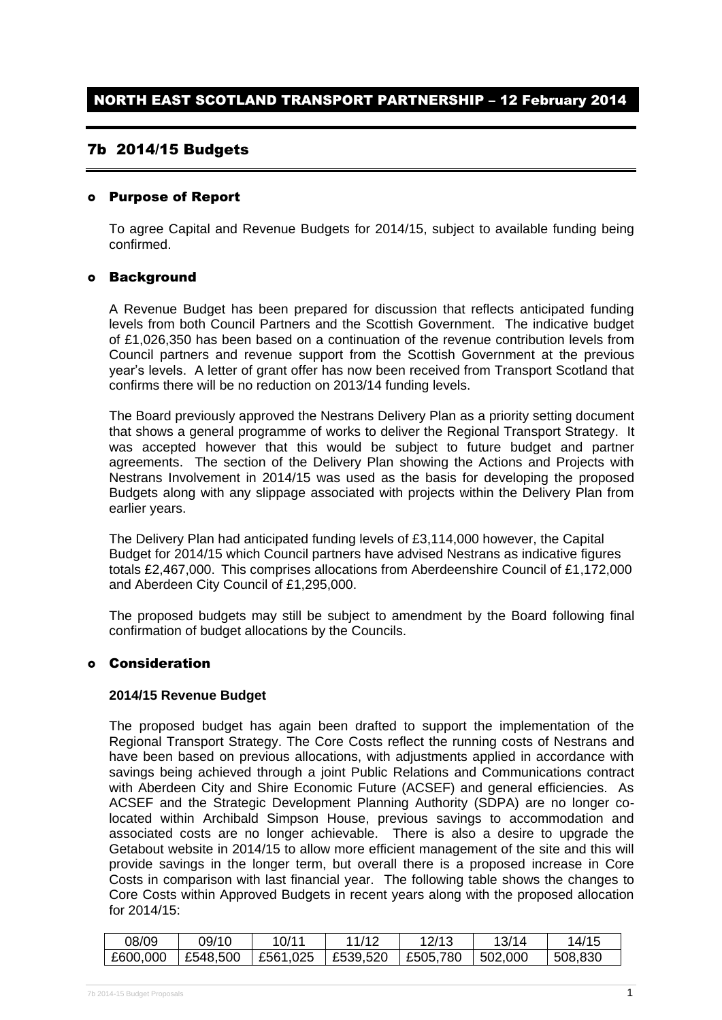# 7b 2014/15 Budgets

## Purpose of Report

To agree Capital and Revenue Budgets for 2014/15, subject to available funding being confirmed.

## Background

A Revenue Budget has been prepared for discussion that reflects anticipated funding levels from both Council Partners and the Scottish Government. The indicative budget of £1,026,350 has been based on a continuation of the revenue contribution levels from Council partners and revenue support from the Scottish Government at the previous year's levels. A letter of grant offer has now been received from Transport Scotland that confirms there will be no reduction on 2013/14 funding levels.

The Board previously approved the Nestrans Delivery Plan as a priority setting document that shows a general programme of works to deliver the Regional Transport Strategy. It was accepted however that this would be subject to future budget and partner agreements. The section of the Delivery Plan showing the Actions and Projects with Nestrans Involvement in 2014/15 was used as the basis for developing the proposed Budgets along with any slippage associated with projects within the Delivery Plan from earlier years.

The Delivery Plan had anticipated funding levels of £3,114,000 however, the Capital Budget for 2014/15 which Council partners have advised Nestrans as indicative figures totals £2,467,000. This comprises allocations from Aberdeenshire Council of £1,172,000 and Aberdeen City Council of £1,295,000.

The proposed budgets may still be subject to amendment by the Board following final confirmation of budget allocations by the Councils.

#### Consideration

#### **2014/15 Revenue Budget**

The proposed budget has again been drafted to support the implementation of the Regional Transport Strategy. The Core Costs reflect the running costs of Nestrans and have been based on previous allocations, with adjustments applied in accordance with savings being achieved through a joint Public Relations and Communications contract with Aberdeen City and Shire Economic Future (ACSEF) and general efficiencies. As ACSEF and the Strategic Development Planning Authority (SDPA) are no longer colocated within Archibald Simpson House, previous savings to accommodation and associated costs are no longer achievable. There is also a desire to upgrade the Getabout website in 2014/15 to allow more efficient management of the site and this will provide savings in the longer term, but overall there is a proposed increase in Core Costs in comparison with last financial year. The following table shows the changes to Core Costs within Approved Budgets in recent years along with the proposed allocation for 2014/15:

| 08/09    | 09/10    | 10/11               | 11/12 | 12/13            | 13/14    | 14/15   |
|----------|----------|---------------------|-------|------------------|----------|---------|
| £600,000 | £548,500 | £561,025   £539,520 |       | $\vert$ £505,780 | 1502,000 | 508,830 |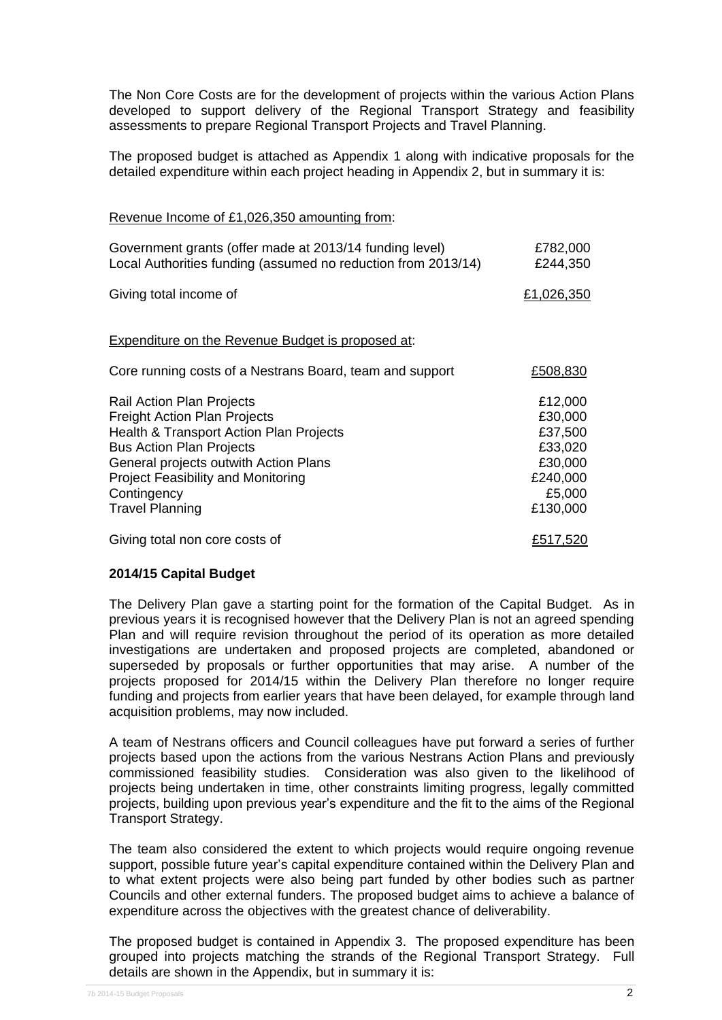The Non Core Costs are for the development of projects within the various Action Plans developed to support delivery of the Regional Transport Strategy and feasibility assessments to prepare Regional Transport Projects and Travel Planning.

The proposed budget is attached as Appendix 1 along with indicative proposals for the detailed expenditure within each project heading in Appendix 2, but in summary it is:

Revenue Income of £1,026,350 amounting from:

| Government grants (offer made at 2013/14 funding level)       | £782,000   |
|---------------------------------------------------------------|------------|
| Local Authorities funding (assumed no reduction from 2013/14) | £244,350   |
| Giving total income of                                        | £1,026,350 |
| Expenditure on the Revenue Budget is proposed at:             |            |
| Core running costs of a Nestrans Board, team and support      | £508,830   |
| Rail Action Plan Projects                                     | £12,000    |
| <b>Freight Action Plan Projects</b>                           | £30,000    |
| Health & Transport Action Plan Projects                       | £37,500    |
| <b>Bus Action Plan Projects</b>                               | £33,020    |
| General projects outwith Action Plans                         | £30,000    |
| <b>Project Feasibility and Monitoring</b>                     | £240,000   |
| Contingency                                                   | £5,000     |
| <b>Travel Planning</b>                                        | £130,000   |
| Giving total non core costs of                                | £517,520   |

#### **2014/15 Capital Budget**

The Delivery Plan gave a starting point for the formation of the Capital Budget. As in previous years it is recognised however that the Delivery Plan is not an agreed spending Plan and will require revision throughout the period of its operation as more detailed investigations are undertaken and proposed projects are completed, abandoned or superseded by proposals or further opportunities that may arise. A number of the projects proposed for 2014/15 within the Delivery Plan therefore no longer require funding and projects from earlier years that have been delayed, for example through land acquisition problems, may now included.

A team of Nestrans officers and Council colleagues have put forward a series of further projects based upon the actions from the various Nestrans Action Plans and previously commissioned feasibility studies. Consideration was also given to the likelihood of projects being undertaken in time, other constraints limiting progress, legally committed projects, building upon previous year's expenditure and the fit to the aims of the Regional Transport Strategy.

The team also considered the extent to which projects would require ongoing revenue support, possible future year's capital expenditure contained within the Delivery Plan and to what extent projects were also being part funded by other bodies such as partner Councils and other external funders. The proposed budget aims to achieve a balance of expenditure across the objectives with the greatest chance of deliverability.

The proposed budget is contained in Appendix 3. The proposed expenditure has been grouped into projects matching the strands of the Regional Transport Strategy. Full details are shown in the Appendix, but in summary it is: